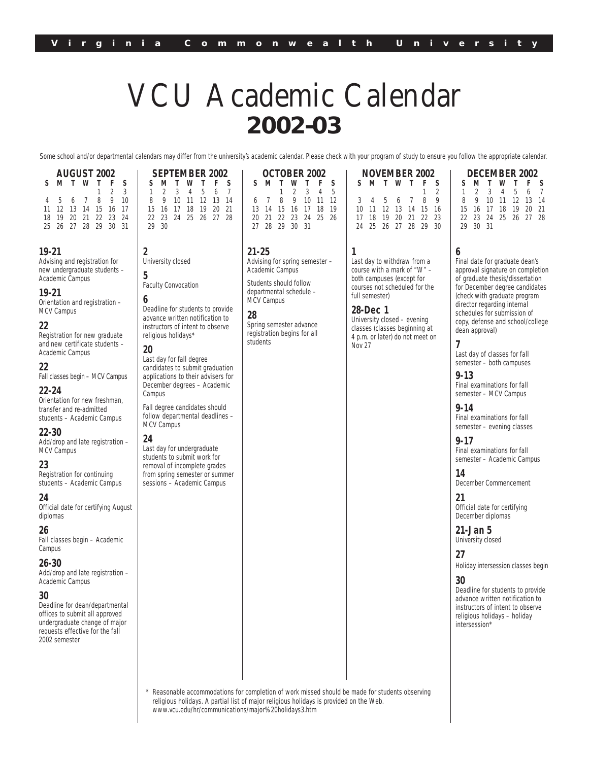# VCU Academic Calendar **2002-03**

Some school and/or departmental calendars may differ from the university's academic calendar. Please check with your program of study to ensure you follow the appropriate calendar.

| <b>AUGUST 2002</b> |  |  |                      |  |             |   |  |  |  |  |
|--------------------|--|--|----------------------|--|-------------|---|--|--|--|--|
| S.                 |  |  | M T W T F            |  |             | S |  |  |  |  |
|                    |  |  |                      |  | $1 \t2 \t3$ |   |  |  |  |  |
|                    |  |  | 4 5 6 7 8 9 10       |  |             |   |  |  |  |  |
|                    |  |  | 11 12 13 14 15 16 17 |  |             |   |  |  |  |  |
| 18                 |  |  | 19 20 21 22 23 24    |  |             |   |  |  |  |  |
|                    |  |  | 25 26 27 28 29 30 31 |  |             |   |  |  |  |  |

# **19-21**

Advising and registration for new undergraduate students – Academic Campus

**2**

**5**

**6**

**20**

Campus

MCV Campus **24**

University closed

8 9 10 11 15 16 17 18<br>22 23 24 25 23 24 25 29 30

Faculty Convocation

Last day for fall degree candidates to submit graduation applications to their advisers for December degrees – Academic

Fall degree candidates should follow departmental deadlines –

Last day for undergraduate students to submit work for removal of incomplete grades from spring semester or summer sessions – Academic Campus

Deadline for students to provide advance written notification to instructors of intent to observe religious holidays\*

#### **19-21**

Orientation and registration – MCV Campus

# **22**

Registration for new graduate and new certificate students – Academic Campus

#### **22**

Fall classes begin – MCV Campus

# **22-24**

Orientation for new freshman, transfer and re-admitted students – Academic Campus

#### **22-30**

Add/drop and late registration – MCV Campus

# **23**

Registration for continuing students – Academic Campus

#### **24**

Official date for certifying August diplomas

#### **26**

Fall classes begin – Academic Campus

#### **26-30**

Add/drop and late registration – Academic Campus

#### **30**

Deadline for dean/departmental offices to submit all approved undergraduate change of major requests effective for the fall 2002 semester

| <b>SEPTEMBER 2002</b> |  |             |  |                      |    | <b>OCTOBER 2002</b> |  |  |                |  |                      |  |
|-----------------------|--|-------------|--|----------------------|----|---------------------|--|--|----------------|--|----------------------|--|
|                       |  | SMTWTF      |  |                      | S. |                     |  |  |                |  | S M T W T F S        |  |
|                       |  | 1 2 3 4 5 6 |  |                      |    |                     |  |  |                |  | $2 \t3 \t4 \t5$      |  |
|                       |  |             |  | 8 9 10 11 12 13 14   |    |                     |  |  |                |  | 6 7 8 9 10 11 12     |  |
|                       |  |             |  | 15 16 17 18 19 20 21 |    |                     |  |  |                |  | 13 14 15 16 17 18 19 |  |
|                       |  |             |  |                      |    |                     |  |  |                |  | 20 21 22 23 24 25 26 |  |
| 2930                  |  |             |  |                      |    |                     |  |  | 27 28 29 30 31 |  |                      |  |
|                       |  |             |  |                      |    |                     |  |  |                |  |                      |  |
|                       |  |             |  |                      |    |                     |  |  |                |  |                      |  |

**21-25**

Advising for spring semester – Academic Campus

Students should follow departmental schedule – MCV Campus

#### **28**

Spring semester advance registration begins for all students

| NOVEMBER 2002 |                      |  |  |       |             |   |  |  |  |  |  |  |
|---------------|----------------------|--|--|-------|-------------|---|--|--|--|--|--|--|
| S.            |                      |  |  | MTWTF |             | s |  |  |  |  |  |  |
|               |                      |  |  |       | $1 \quad 2$ |   |  |  |  |  |  |  |
|               | 3 4 5 6 7 8 9        |  |  |       |             |   |  |  |  |  |  |  |
|               | 10 11 12 13 14 15 16 |  |  |       |             |   |  |  |  |  |  |  |
|               | 17 18 19 20 21 22 23 |  |  |       |             |   |  |  |  |  |  |  |
|               | 24 25 26 27 28 29 30 |  |  |       |             |   |  |  |  |  |  |  |

Last day to withdraw from a course with a mark of "W" – both campuses (except for courses not scheduled for the full semester)

**28-Dec 1**

**1**

University closed – evening classes (classes beginning at 4 p.m. or later) do not meet on Nov 27

1234567 8 9 10 11 12 13 14 15 16 17 18 19 20 21 22 23 24 25 26 27 28 29 30 31

**DECEMBER 2002 SMTWT F S**

# **6**

Final date for graduate dean's approval signature on completion of graduate thesis/dissertation for December degree candidates (check with graduate program director regarding internal schedules for submission of copy, defense and school/college dean approval)

**7** Last day of classes for fall semester – both campuses

**9-13**

Final examinations for fall semester – MCV Campus

**9-14**

Final examinations for fall semester – evening classes

#### **9-17**

Final examinations for fall semester – Academic Campus

**14**

December Commencement

**21** Official date for certifying December diplomas

**21-Jan 5** University closed

**27**

Holiday intersession classes begin

#### **30**

Deadline for students to provide advance written notification to instructors of intent to observe religious holidays – holiday intersession\*

Reasonable accommodations for completion of work missed should be made for students observing religious holidays. A partial list of major religious holidays is provided on the Web. www.vcu.edu/hr/communications/major%20holidays3.htm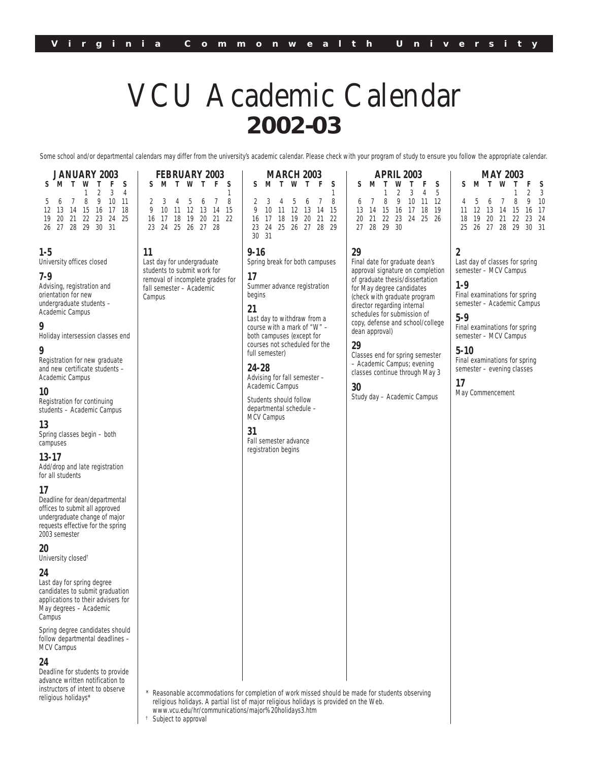# VCU Academic Calendar **2002-03**

Some school and/or departmental calendars may differ from the university's academic calendar. Please check with your program of study to ensure you follow the appropriate calendar.

| <b>JANUARY 2003</b> |  |  |                   |  |             |   |  |  |  |  |  |
|---------------------|--|--|-------------------|--|-------------|---|--|--|--|--|--|
| S                   |  |  | MTWT              |  | F.          | s |  |  |  |  |  |
|                     |  |  |                   |  | $1 \t2 \t3$ | 4 |  |  |  |  |  |
|                     |  |  | 5 6 7 8 9 10 11   |  |             |   |  |  |  |  |  |
| 12                  |  |  | 13 14 15 16 17 18 |  |             |   |  |  |  |  |  |
| 19                  |  |  | 20 21 22 23 24 25 |  |             |   |  |  |  |  |  |
|                     |  |  | 26 27 28 29 30 31 |  |             |   |  |  |  |  |  |

**11**

Campus

Last day for undergraduate students to submit work for removal of incomplete grades for fall semester – Academic

#### **1-5**

University offices closed

#### **7-9**

Advising, registration and orientation for new undergraduate students – Academic Campus

#### **9**

Holiday intersession classes end

# **9**

Registration for new graduate and new certificate students – Academic Campus

#### **10**

Registration for continuing students – Academic Campus

#### **13**

Spring classes begin – both campuses

#### **13-17**

Add/drop and late registration for all students

# **17**

Deadline for dean/departmental offices to submit all approved undergraduate change of major requests effective for the spring 2003 semester

**20**

University closed†

#### **24**

Last day for spring degree candidates to submit graduation applications to their advisers for May degrees – Academic Campus<sup>T</sup>

Spring degree candidates should follow departmental deadlines – MCV Campus

#### **24**

Deadline for students to provide advance written notification to instructors of intent to observe religious holidays\*

| <b>FEBRUARY 2003</b> |                      |  |  |  |  |  |  |       | <b>MARCH 2003</b> |                      |     |
|----------------------|----------------------|--|--|--|--|--|--|-------|-------------------|----------------------|-----|
|                      | S M T W T F S        |  |  |  |  |  |  |       |                   | S M T W T F S        |     |
|                      |                      |  |  |  |  |  |  |       |                   |                      |     |
|                      | 2 3 4 5 6 7          |  |  |  |  |  |  |       |                   | 2 3 4 5 6 7          | - 8 |
|                      | 9 10 11 12 13 14 15  |  |  |  |  |  |  |       |                   | 10 11 12 13 14 15    |     |
|                      | 16 17 18 19 20 21 22 |  |  |  |  |  |  | 16 17 |                   | 18 19 20 21 22       |     |
|                      | 23 24 25 26 27 28    |  |  |  |  |  |  |       |                   | 23 24 25 26 27 28 29 |     |
|                      |                      |  |  |  |  |  |  | 31    |                   |                      |     |

**9-16**

Spring break for both campuses **17**

Summer advance registration begins

# **21**

Last day to withdraw from a course with a mark of "W" – both campuses (except for courses not scheduled for the full semester)

**24-28**

Advising for fall semester – Academic Campus

Students should follow departmental schedule – MCV Campus

# **31**

Fall semester advance registration begins

| <b>APRIL 2003</b> |                      |  |                     |  |  |  |  |  |  |  |  |
|-------------------|----------------------|--|---------------------|--|--|--|--|--|--|--|--|
| S.                | <b>MTWTFS</b>        |  |                     |  |  |  |  |  |  |  |  |
|                   |                      |  | $1 \t2 \t3 \t4 \t5$ |  |  |  |  |  |  |  |  |
|                   | 6 7 8 9 10 11 12     |  |                     |  |  |  |  |  |  |  |  |
|                   | 13 14 15 16 17 18 19 |  |                     |  |  |  |  |  |  |  |  |
|                   | 20 21 22 23 24 25 26 |  |                     |  |  |  |  |  |  |  |  |
|                   | 27 28 29 30          |  |                     |  |  |  |  |  |  |  |  |

### **29**

> Final date for graduate dean's approval signature on completion of graduate thesis/dissertation for May degree candidates (check with graduate program director regarding internal schedules for submission of copy, defense and school/college dean approval)

# **29**

Classes end for spring semester – Academic Campus; evening classes continue through May 3

#### **30**

Study day – Academic Campus

#### **MAY 2003 SMTWT F S**  $\begin{array}{cc} 1 & 2 & 3 \\ 8 & 9 & 10 \end{array}$  $4 \quad 5 \quad 6 \quad 7$ 11 12 13 14 15 16 17 18 19 20 21 22 23 24 25 26 27 28 29 30 31

# **2**

Last day of classes for spring semester – MCV Campus

# **1-9**

Final examinations for spring semester – Academic Campus

# **5-9**

Final examinations for spring semester – MCV Campus

# **5-10**

Final examinations for spring semester – evening classes

**17** May Commencement

Reasonable accommodations for completion of work missed should be made for students observing religious holidays. A partial list of major religious holidays is provided on the Web. www.vcu.edu/hr/communications/major%20holidays3.htm

Subject to approval